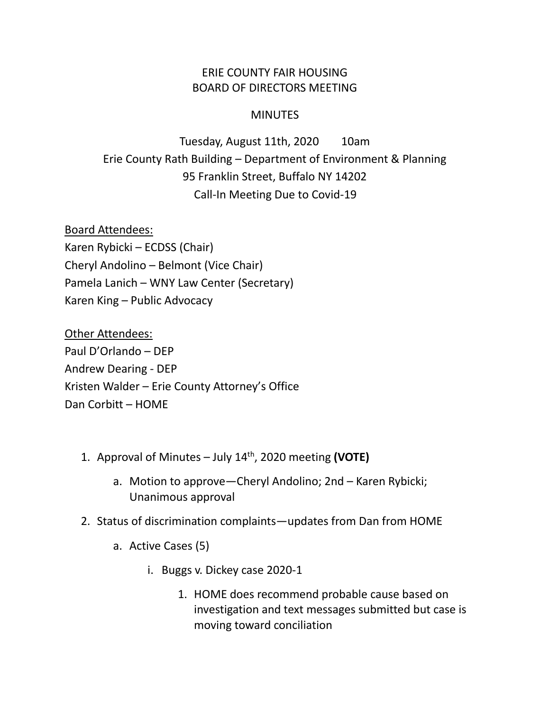## ERIE COUNTY FAIR HOUSING BOARD OF DIRECTORS MEETING

## **MINUTES**

Tuesday, August 11th, 2020 10am Erie County Rath Building – Department of Environment & Planning 95 Franklin Street, Buffalo NY 14202 Call-In Meeting Due to Covid-19

Board Attendees: Karen Rybicki – ECDSS (Chair) Cheryl Andolino – Belmont (Vice Chair) Pamela Lanich – WNY Law Center (Secretary) Karen King – Public Advocacy

Other Attendees: Paul D'Orlando – DEP Andrew Dearing - DEP Kristen Walder – Erie County Attorney's Office Dan Corbitt – HOME

- 1. Approval of Minutes July 14th, 2020 meeting **(VOTE)**
	- a. Motion to approve—Cheryl Andolino; 2nd Karen Rybicki; Unanimous approval
- 2. Status of discrimination complaints—updates from Dan from HOME
	- a. Active Cases (5)
		- i. Buggs v. Dickey case 2020-1
			- 1. HOME does recommend probable cause based on investigation and text messages submitted but case is moving toward conciliation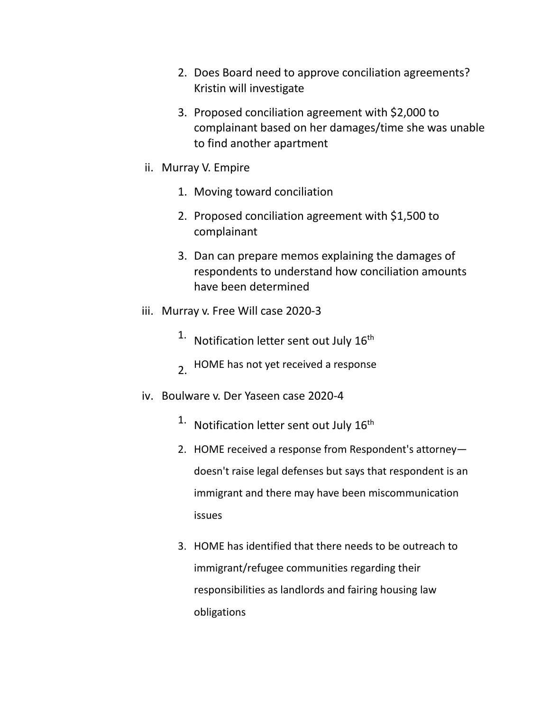- 2. Does Board need to approve conciliation agreements? Kristin will investigate
- 3. Proposed conciliation agreement with \$2,000 to complainant based on her damages/time she was unable to find another apartment
- ii. Murray V. Empire
	- 1. Moving toward conciliation
	- 2. Proposed conciliation agreement with \$1,500 to complainant
	- 3. Dan can prepare memos explaining the damages of respondents to understand how conciliation amounts have been determined
- iii. Murray v. Free Will case 2020-3
	- $1.$  Notification letter sent out July  $16<sup>th</sup>$
	- 2. HOME has not yet received a response
- iv. Boulware v. Der Yaseen case 2020-4
	- $1.$  Notification letter sent out July  $16<sup>th</sup>$
	- 2. HOME received a response from Respondent's attorney doesn't raise legal defenses but says that respondent is an immigrant and there may have been miscommunication issues
	- 3. HOME has identified that there needs to be outreach to immigrant/refugee communities regarding their responsibilities as landlords and fairing housing law obligations